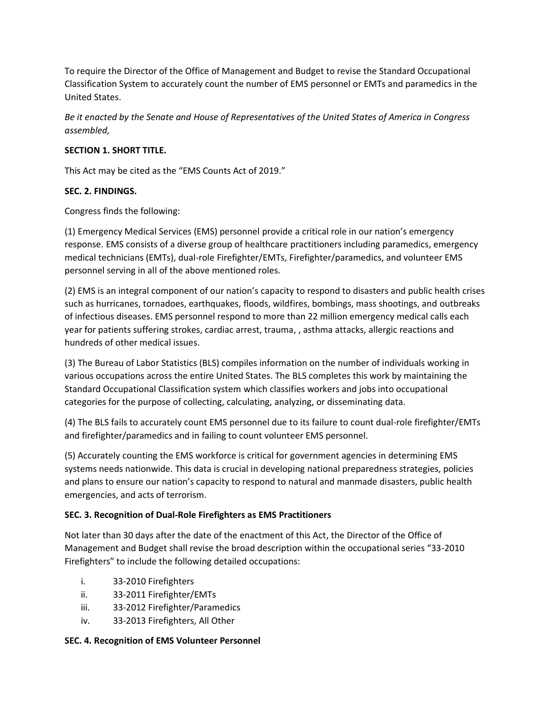To require the Director of the Office of Management and Budget to revise the Standard Occupational Classification System to accurately count the number of EMS personnel or EMTs and paramedics in the United States.

*Be it enacted by the Senate and House of Representatives of the United States of America in Congress assembled,*

## **SECTION 1. SHORT TITLE.**

This Act may be cited as the "EMS Counts Act of 2019."

## **SEC. 2. FINDINGS.**

Congress finds the following:

(1) Emergency Medical Services (EMS) personnel provide a critical role in our nation's emergency response. EMS consists of a diverse group of healthcare practitioners including paramedics, emergency medical technicians (EMTs), dual-role Firefighter/EMTs, Firefighter/paramedics, and volunteer EMS personnel serving in all of the above mentioned roles.

(2) EMS is an integral component of our nation's capacity to respond to disasters and public health crises such as hurricanes, tornadoes, earthquakes, floods, wildfires, bombings, mass shootings, and outbreaks of infectious diseases. EMS personnel respond to more than 22 million emergency medical calls each year for patients suffering strokes, cardiac arrest, trauma, , asthma attacks, allergic reactions and hundreds of other medical issues.

(3) The Bureau of Labor Statistics (BLS) compiles information on the number of individuals working in various occupations across the entire United States. The BLS completes this work by maintaining the Standard Occupational Classification system which classifies workers and jobs into occupational categories for the purpose of collecting, calculating, analyzing, or disseminating data.

(4) The BLS fails to accurately count EMS personnel due to its failure to count dual-role firefighter/EMTs and firefighter/paramedics and in failing to count volunteer EMS personnel.

(5) Accurately counting the EMS workforce is critical for government agencies in determining EMS systems needs nationwide. This data is crucial in developing national preparedness strategies, policies and plans to ensure our nation's capacity to respond to natural and manmade disasters, public health emergencies, and acts of terrorism.

### **SEC. 3. Recognition of Dual-Role Firefighters as EMS Practitioners**

Not later than 30 days after the date of the enactment of this Act, the Director of the Office of Management and Budget shall revise the broad description within the occupational series "33-2010 Firefighters" to include the following detailed occupations:

- i. 33-2010 Firefighters
- ii. 33-2011 Firefighter/EMTs
- iii. 33-2012 Firefighter/Paramedics
- iv. 33-2013 Firefighters, All Other

# **SEC. 4. Recognition of EMS Volunteer Personnel**